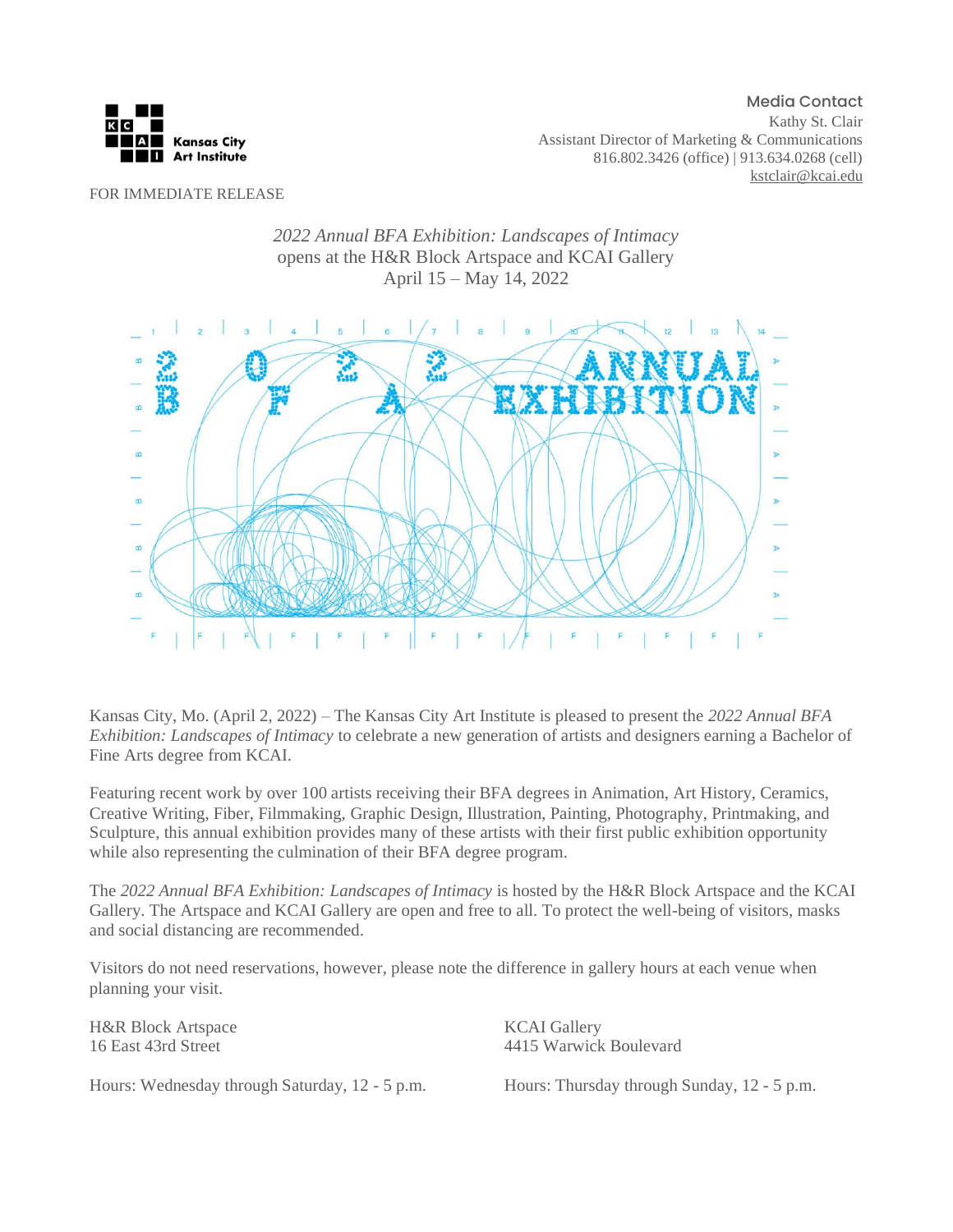

Media Contact Kathy St. Clair Assistant Director of Marketing & Communications 816.802.3426 (office) | 913.634.0268 (cell) [kstclair@kcai.edu](mailto:kstclair@kcai.edu)

FOR IMMEDIATE RELEASE





Kansas City, Mo. (April 2, 2022) – The Kansas City Art Institute is pleased to present the *2022 Annual BFA Exhibition: Landscapes of Intimacy* to celebrate a new generation of artists and designers earning a Bachelor of Fine Arts degree from KCAI.

Featuring recent work by over 100 artists receiving their BFA degrees in Animation, Art History, Ceramics, Creative Writing, Fiber, Filmmaking, Graphic Design, Illustration, Painting, Photography, Printmaking, and Sculpture, this annual exhibition provides many of these artists with their first public exhibition opportunity while also representing the culmination of their BFA degree program.

The *2022 Annual BFA Exhibition: Landscapes of Intimacy* is hosted by the H&R Block Artspace and the KCAI Gallery. The Artspace and KCAI Gallery are open and free to all. To protect the well-being of visitors, masks and social distancing are recommended.

Visitors do not need reservations, however, please note the difference in gallery hours at each venue when planning your visit.

H&R Block Artspace 16 East 43rd Street

KCAI Gallery 4415 Warwick Boulevard

Hours: Wednesday through Saturday, 12 - 5 p.m.

Hours: Thursday through Sunday, 12 - 5 p.m.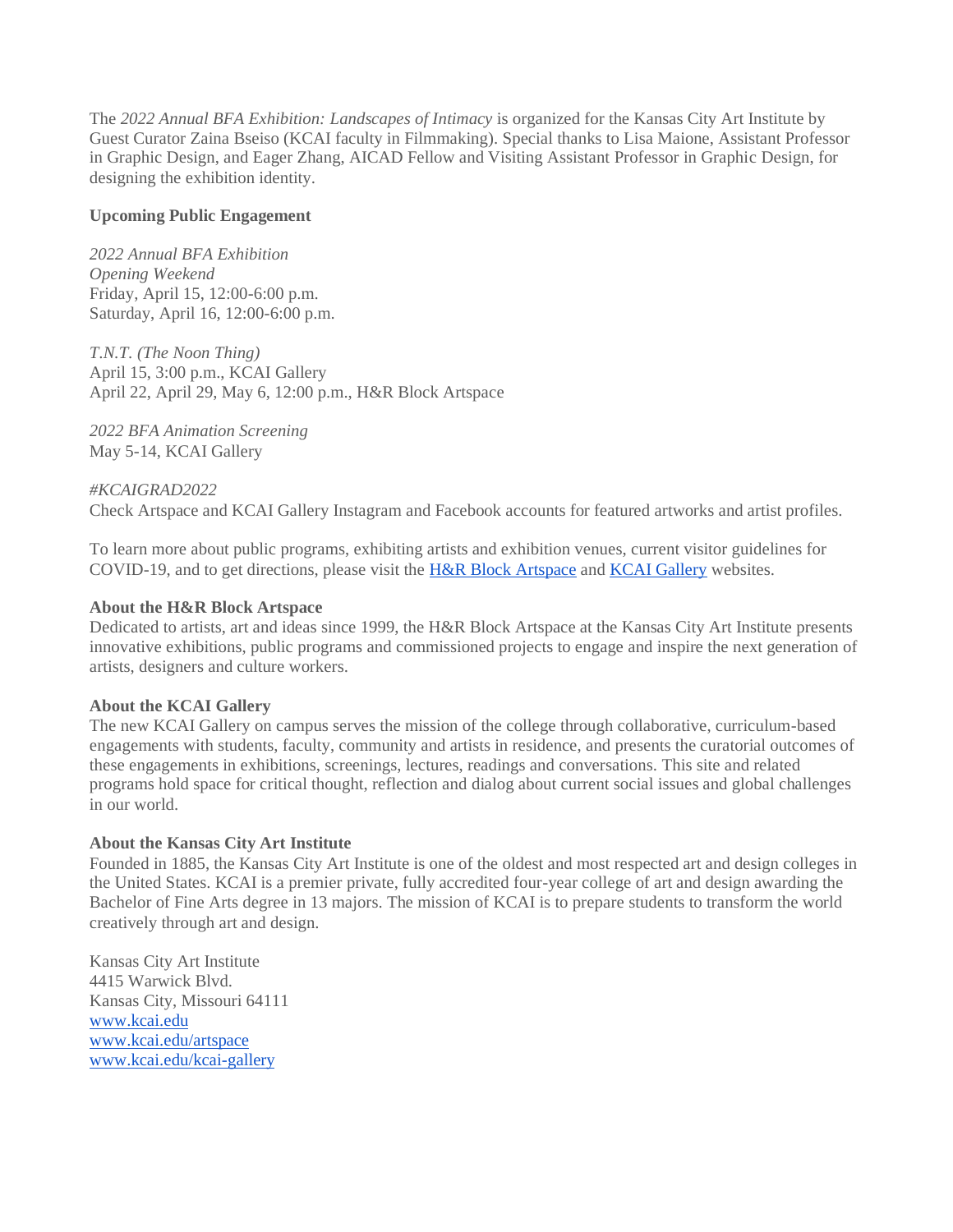The *2022 Annual BFA Exhibition: Landscapes of Intimacy* is organized for the Kansas City Art Institute by Guest Curator Zaina Bseiso (KCAI faculty in Filmmaking). Special thanks to Lisa Maione, Assistant Professor in Graphic Design, and Eager Zhang, AICAD Fellow and Visiting Assistant Professor in Graphic Design, for designing the exhibition identity.

# **Upcoming Public Engagement**

*2022 Annual BFA Exhibition Opening Weekend* Friday, April 15, 12:00-6:00 p.m. Saturday, April 16, 12:00-6:00 p.m.

*T.N.T. (The Noon Thing)* April 15, 3:00 p.m., KCAI Gallery April 22, April 29, May 6, 12:00 p.m., H&R Block Artspace

*2022 BFA Animation Screening* May 5-14, KCAI Gallery

*#KCAIGRAD2022* Check Artspace and KCAI Gallery Instagram and Facebook accounts for featured artworks and artist profiles.

To learn more about public programs, exhibiting artists and exhibition venues, current visitor guidelines for COVID-19, and to get directions, please visit the [H&R Block Artspace](https://kcai.edu/artspace/) and [KCAI Gallery](https://kcai.edu/kcai-gallery/) websites.

# **About the H&R Block Artspace**

Dedicated to artists, art and ideas since 1999, the H&R Block Artspace at the Kansas City Art Institute presents innovative exhibitions, public programs and commissioned projects to engage and inspire the next generation of artists, designers and culture workers.

## **About the KCAI Gallery**

The new KCAI Gallery on campus serves the mission of the college through collaborative, curriculum-based engagements with students, faculty, community and artists in residence, and presents the curatorial outcomes of these engagements in exhibitions, screenings, lectures, readings and conversations. This site and related programs hold space for critical thought, reflection and dialog about current social issues and global challenges in our world.

## **About the Kansas City Art Institute**

Founded in 1885, the Kansas City Art Institute is one of the oldest and most respected art and design colleges in the United States. KCAI is a premier private, fully accredited four-year college of art and design awarding the Bachelor of Fine Arts degree in 13 majors. The mission of KCAI is to prepare students to transform the world creatively through art and design.

Kansas City Art Institute 4415 Warwick Blvd. Kansas City, Missouri 64111 [www.kcai.edu](http://www.kcai.edu/) [www.kcai.edu/artspace](http://www.kcai.edu/artspace) [www.kcai.edu/kcai-gallery](http://www.kcai.edu/kcai-gallery)